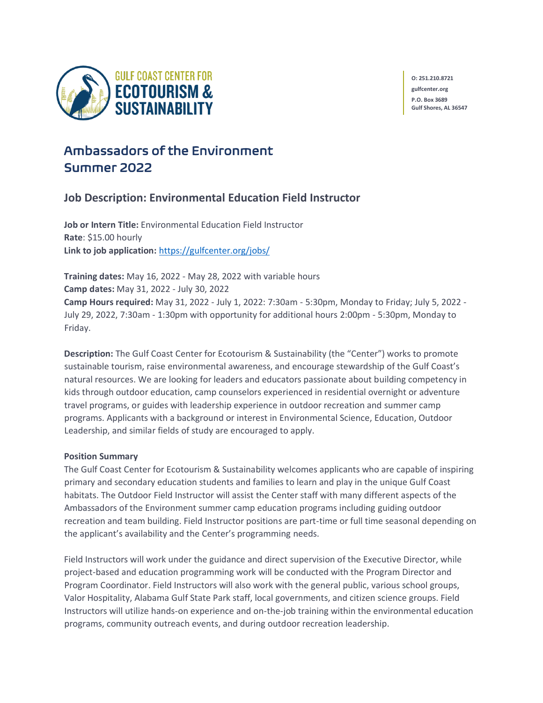

**O: 251.210.8721 gulfcenter.org P.O. Box 3689 Gulf Shores, AL 36547**

# Ambassadors of the Environment Summer 2022

# **Job Description: Environmental Education Field Instructor**

**Job or Intern Title:** Environmental Education Field Instructor **Rate**: \$15.00 hourly **Link to job application:** <https://gulfcenter.org/jobs/>

**Training dates:** May 16, 2022 - May 28, 2022 with variable hours **Camp dates:** May 31, 2022 - July 30, 2022 **Camp Hours required:** May 31, 2022 - July 1, 2022: 7:30am - 5:30pm, Monday to Friday; July 5, 2022 - July 29, 2022, 7:30am - 1:30pm with opportunity for additional hours 2:00pm - 5:30pm, Monday to Friday.

**Description:** The Gulf Coast Center for Ecotourism & Sustainability (the "Center") works to promote sustainable tourism, raise environmental awareness, and encourage stewardship of the Gulf Coast's natural resources. We are looking for leaders and educators passionate about building competency in kids through outdoor education, camp counselors experienced in residential overnight or adventure travel programs, or guides with leadership experience in outdoor recreation and summer camp programs. Applicants with a background or interest in Environmental Science, Education, Outdoor Leadership, and similar fields of study are encouraged to apply.

#### **Position Summary**

The Gulf Coast Center for Ecotourism & Sustainability welcomes applicants who are capable of inspiring primary and secondary education students and families to learn and play in the unique Gulf Coast habitats. The Outdoor Field Instructor will assist the Center staff with many different aspects of the Ambassadors of the Environment summer camp education programs including guiding outdoor recreation and team building. Field Instructor positions are part-time or full time seasonal depending on the applicant's availability and the Center's programming needs.

Field Instructors will work under the guidance and direct supervision of the Executive Director, while project-based and education programming work will be conducted with the Program Director and Program Coordinator. Field Instructors will also work with the general public, various school groups, Valor Hospitality, Alabama Gulf State Park staff, local governments, and citizen science groups. Field Instructors will utilize hands-on experience and on-the-job training within the environmental education programs, community outreach events, and during outdoor recreation leadership.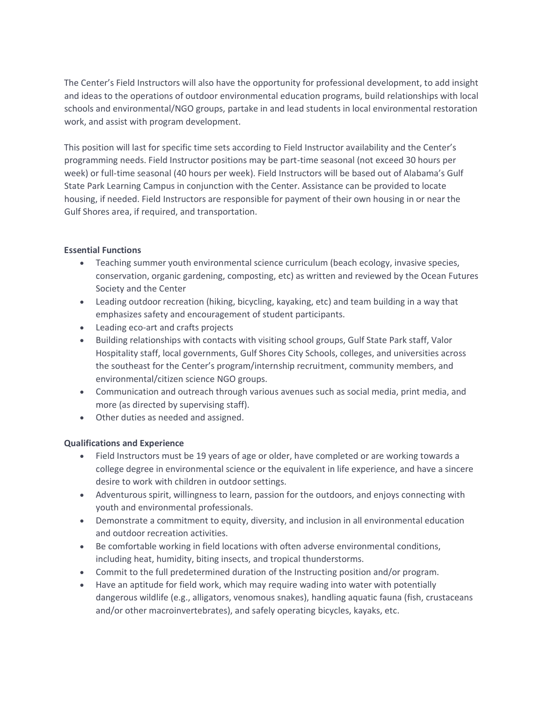The Center's Field Instructors will also have the opportunity for professional development, to add insight and ideas to the operations of outdoor environmental education programs, build relationships with local schools and environmental/NGO groups, partake in and lead students in local environmental restoration work, and assist with program development.

This position will last for specific time sets according to Field Instructor availability and the Center's programming needs. Field Instructor positions may be part-time seasonal (not exceed 30 hours per week) or full-time seasonal (40 hours per week). Field Instructors will be based out of Alabama's Gulf State Park Learning Campus in conjunction with the Center. Assistance can be provided to locate housing, if needed. Field Instructors are responsible for payment of their own housing in or near the Gulf Shores area, if required, and transportation.

#### **Essential Functions**

- Teaching summer youth environmental science curriculum (beach ecology, invasive species, conservation, organic gardening, composting, etc) as written and reviewed by the Ocean Futures Society and the Center
- Leading outdoor recreation (hiking, bicycling, kayaking, etc) and team building in a way that emphasizes safety and encouragement of student participants.
- Leading eco-art and crafts projects
- Building relationships with contacts with visiting school groups, Gulf State Park staff, Valor Hospitality staff, local governments, Gulf Shores City Schools, colleges, and universities across the southeast for the Center's program/internship recruitment, community members, and environmental/citizen science NGO groups.
- Communication and outreach through various avenues such as social media, print media, and more (as directed by supervising staff).
- Other duties as needed and assigned.

## **Qualifications and Experience**

- Field Instructors must be 19 years of age or older, have completed or are working towards a college degree in environmental science or the equivalent in life experience, and have a sincere desire to work with children in outdoor settings.
- Adventurous spirit, willingness to learn, passion for the outdoors, and enjoys connecting with youth and environmental professionals.
- Demonstrate a commitment to equity, diversity, and inclusion in all environmental education and outdoor recreation activities.
- Be comfortable working in field locations with often adverse environmental conditions, including heat, humidity, biting insects, and tropical thunderstorms.
- Commit to the full predetermined duration of the Instructing position and/or program.
- Have an aptitude for field work, which may require wading into water with potentially dangerous wildlife (e.g., alligators, venomous snakes), handling aquatic fauna (fish, crustaceans and/or other macroinvertebrates), and safely operating bicycles, kayaks, etc.